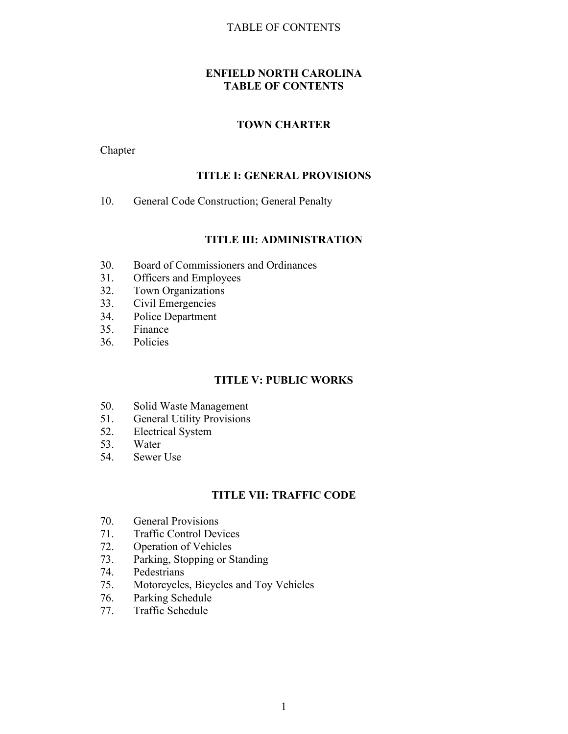#### TABLE OF CONTENTS

## **ENFIELD NORTH CAROLINA TABLE OF CONTENTS**

### **TOWN CHARTER**

Chapter

### **TITLE I: GENERAL PROVISIONS**

10. General Code Construction; General Penalty

#### **TITLE III: ADMINISTRATION**

- 30. Board of Commissioners and Ordinances
- 31. Officers and Employees
- 32. Town Organizations
- 33. Civil Emergencies
- 34. Police Department
- 35. Finance
- 36. Policies

#### **TITLE V: PUBLIC WORKS**

- 50. Solid Waste Management
- 51. General Utility Provisions
- 52. Electrical System
- 53. Water
- 54. Sewer Use

### **TITLE VII: TRAFFIC CODE**

- 70. General Provisions
- 71. Traffic Control Devices
- 72. Operation of Vehicles
- 73. Parking, Stopping or Standing
- 74. Pedestrians
- 75. Motorcycles, Bicycles and Toy Vehicles<br>76. Parking Schedule
- Parking Schedule
- 77. Traffic Schedule